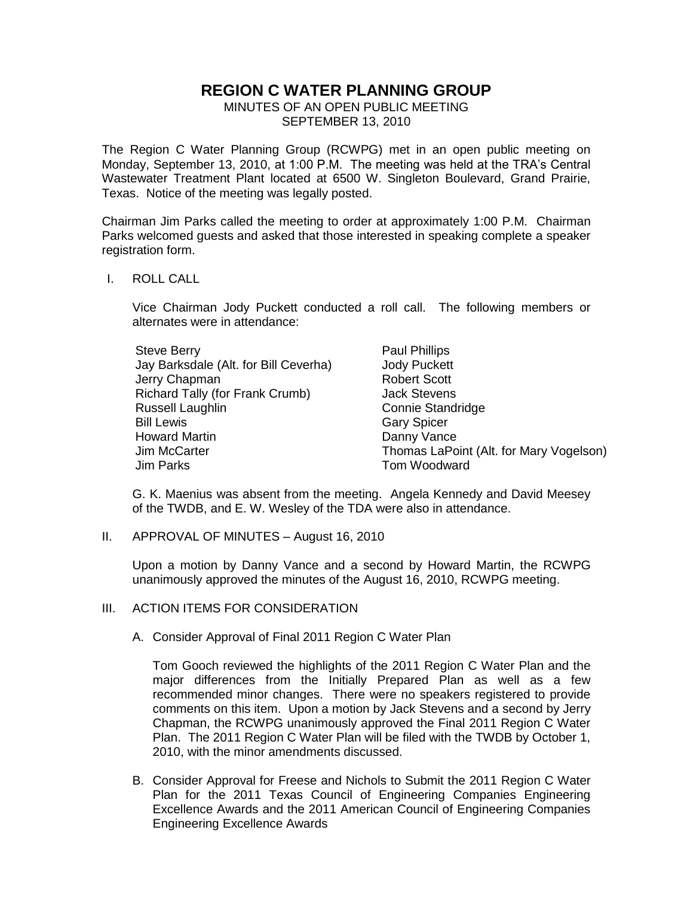## **REGION C WATER PLANNING GROUP**

MINUTES OF AN OPEN PUBLIC MEETING SEPTEMBER 13, 2010

The Region C Water Planning Group (RCWPG) met in an open public meeting on Monday, September 13, 2010, at 1:00 P.M. The meeting was held at the TRA's Central Wastewater Treatment Plant located at 6500 W. Singleton Boulevard, Grand Prairie, Texas. Notice of the meeting was legally posted.

Chairman Jim Parks called the meeting to order at approximately 1:00 P.M. Chairman Parks welcomed guests and asked that those interested in speaking complete a speaker registration form.

## I. ROLL CALL

Vice Chairman Jody Puckett conducted a roll call. The following members or alternates were in attendance:

| <b>Steve Berry</b>                    | Paul Phillips                           |
|---------------------------------------|-----------------------------------------|
| Jay Barksdale (Alt. for Bill Ceverha) | <b>Jody Puckett</b>                     |
| Jerry Chapman                         | <b>Robert Scott</b>                     |
| Richard Tally (for Frank Crumb)       | <b>Jack Stevens</b>                     |
| Russell Laughlin                      | <b>Connie Standridge</b>                |
| <b>Bill Lewis</b>                     | <b>Gary Spicer</b>                      |
| <b>Howard Martin</b>                  | Danny Vance                             |
| Jim McCarter                          | Thomas LaPoint (Alt. for Mary Vogelson) |
| Jim Parks                             | Tom Woodward                            |

G. K. Maenius was absent from the meeting. Angela Kennedy and David Meesey of the TWDB, and E. W. Wesley of the TDA were also in attendance.

II. APPROVAL OF MINUTES – August 16, 2010

Upon a motion by Danny Vance and a second by Howard Martin, the RCWPG unanimously approved the minutes of the August 16, 2010, RCWPG meeting.

- III. ACTION ITEMS FOR CONSIDERATION
	- A. Consider Approval of Final 2011 Region C Water Plan

Tom Gooch reviewed the highlights of the 2011 Region C Water Plan and the major differences from the Initially Prepared Plan as well as a few recommended minor changes. There were no speakers registered to provide comments on this item. Upon a motion by Jack Stevens and a second by Jerry Chapman, the RCWPG unanimously approved the Final 2011 Region C Water Plan. The 2011 Region C Water Plan will be filed with the TWDB by October 1, 2010, with the minor amendments discussed.

B. Consider Approval for Freese and Nichols to Submit the 2011 Region C Water Plan for the 2011 Texas Council of Engineering Companies Engineering Excellence Awards and the 2011 American Council of Engineering Companies Engineering Excellence Awards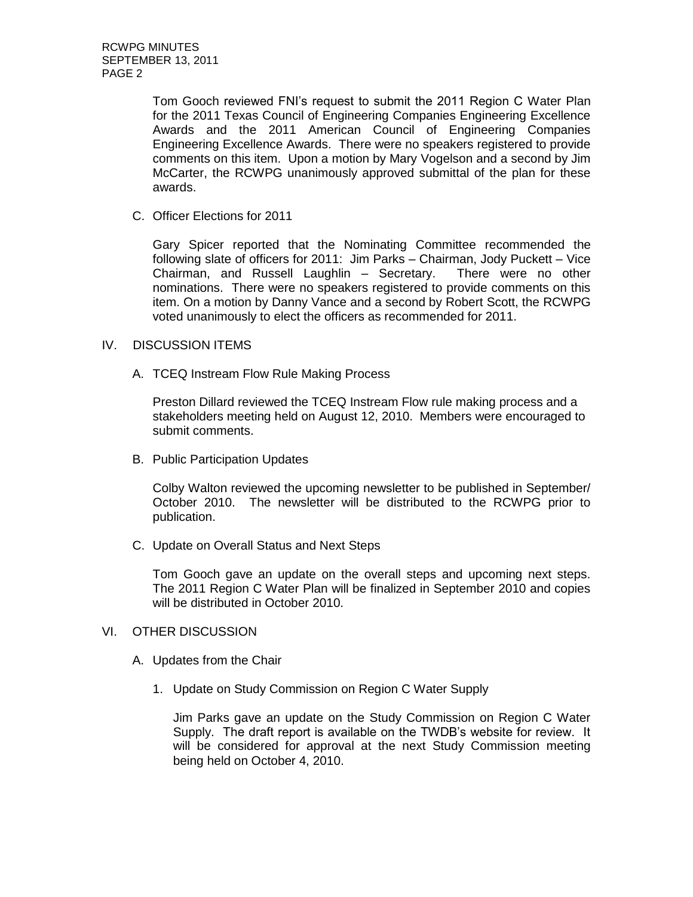Tom Gooch reviewed FNI's request to submit the 2011 Region C Water Plan for the 2011 Texas Council of Engineering Companies Engineering Excellence Awards and the 2011 American Council of Engineering Companies Engineering Excellence Awards. There were no speakers registered to provide comments on this item. Upon a motion by Mary Vogelson and a second by Jim McCarter, the RCWPG unanimously approved submittal of the plan for these awards.

C. Officer Elections for 2011

Gary Spicer reported that the Nominating Committee recommended the following slate of officers for 2011: Jim Parks – Chairman, Jody Puckett – Vice Chairman, and Russell Laughlin – Secretary. There were no other nominations. There were no speakers registered to provide comments on this item. On a motion by Danny Vance and a second by Robert Scott, the RCWPG voted unanimously to elect the officers as recommended for 2011.

## IV. DISCUSSION ITEMS

A. TCEQ Instream Flow Rule Making Process

Preston Dillard reviewed the TCEQ Instream Flow rule making process and a stakeholders meeting held on August 12, 2010. Members were encouraged to submit comments.

B. Public Participation Updates

Colby Walton reviewed the upcoming newsletter to be published in September/ October 2010. The newsletter will be distributed to the RCWPG prior to publication.

C. Update on Overall Status and Next Steps

Tom Gooch gave an update on the overall steps and upcoming next steps. The 2011 Region C Water Plan will be finalized in September 2010 and copies will be distributed in October 2010.

## VI. OTHER DISCUSSION

- A. Updates from the Chair
	- 1. Update on Study Commission on Region C Water Supply

Jim Parks gave an update on the Study Commission on Region C Water Supply. The draft report is available on the TWDB's website for review. It will be considered for approval at the next Study Commission meeting being held on October 4, 2010.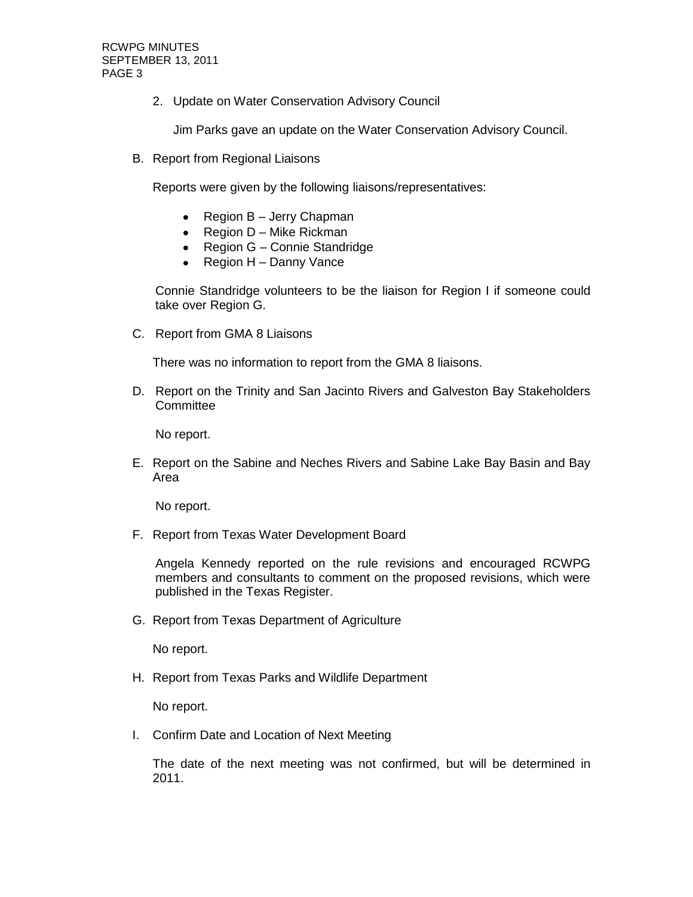2. Update on Water Conservation Advisory Council

Jim Parks gave an update on the Water Conservation Advisory Council.

B. Report from Regional Liaisons

Reports were given by the following liaisons/representatives:

- $\bullet$ Region B – Jerry Chapman
- Region  $D -$  Mike Rickman
- Region G Connie Standridge
- $\bullet$  Region H Danny Vance

Connie Standridge volunteers to be the liaison for Region I if someone could take over Region G.

C. Report from GMA 8 Liaisons

There was no information to report from the GMA 8 liaisons.

D. Report on the Trinity and San Jacinto Rivers and Galveston Bay Stakeholders **Committee** 

No report.

E. Report on the Sabine and Neches Rivers and Sabine Lake Bay Basin and Bay Area

No report.

F. Report from Texas Water Development Board

Angela Kennedy reported on the rule revisions and encouraged RCWPG members and consultants to comment on the proposed revisions, which were published in the Texas Register.

G. Report from Texas Department of Agriculture

No report.

H. Report from Texas Parks and Wildlife Department

No report.

I. Confirm Date and Location of Next Meeting

The date of the next meeting was not confirmed, but will be determined in 2011.